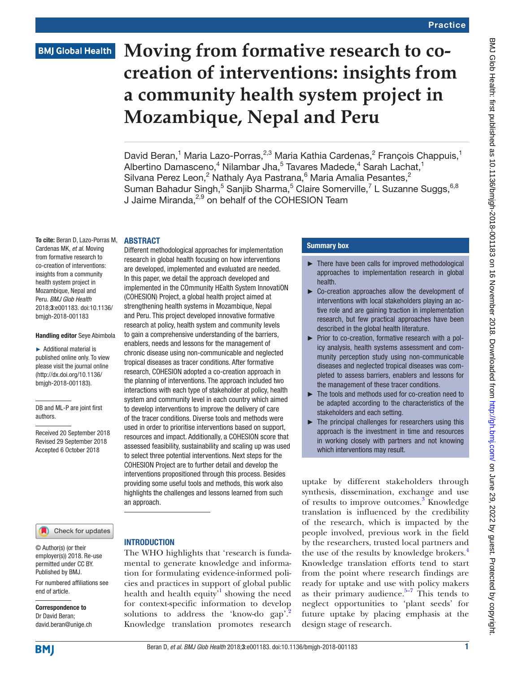# **BMJ Global Health**

# **Moving from formative research to cocreation of interventions: insights from a community health system project in Mozambique, Nepal and Peru**

David Beran,<sup>1</sup> Maria Lazo-Porras,<sup>2,3</sup> Maria Kathia Cardenas,<sup>2</sup> François Chappuis,<sup>1</sup> Albertino Damasceno,<sup>4</sup> Nilambar Jha,<sup>5</sup> Tavares Madede,<sup>4</sup> Sarah Lachat,<sup>1</sup> Silvana Perez Leon,<sup>2</sup> Nathaly Aya Pastrana,<sup>6</sup> Maria Amalia Pesantes,<sup>2</sup> Suman Bahadur Singh,<sup>5</sup> Sanjib Sharma,<sup>5</sup> Claire Somerville,<sup>7</sup> L Suzanne Suggs,<sup>6,8</sup> J Jaime Miranda,<sup>2,9</sup> on behalf of the COHESION Team

#### **ABSTRACT**

To cite: Beran D, Lazo-Porras M, Cardenas MK, *et al*. Moving from formative research to co-creation of interventions: insights from a community health system project in Mozambique, Nepal and Peru. *BMJ Glob Health* 2018;3:e001183. doi:10.1136/ bmjgh-2018-001183

#### Handling editor Seye Abimbola

► Additional material is published online only. To view please visit the journal online ([http://dx.doi.org/10.1136/](http://dx.doi.org/10.1136/bmjgh-2018-001183) [bmjgh-2018-001183\)](http://dx.doi.org/10.1136/bmjgh-2018-001183).

DB and ML-P are joint first authors.

Received 20 September 2018 Revised 29 September 2018 Accepted 6 October 2018

# Check for updates

© Author(s) (or their employer(s)) 2018. Re-use permitted under CC BY. Published by BMJ.

For numbered affiliations see end of article.

Correspondence to Dr David Beran; david.beran@unige.ch

are developed, implemented and evaluated are needed. In this paper, we detail the approach developed and implemented in the COmmunity HEalth System InnovatiON (COHESION) Project, a global health project aimed at strengthening health systems in Mozambique, Nepal and Peru. This project developed innovative formative research at policy, health system and community levels to gain a comprehensive understanding of the barriers, enablers, needs and lessons for the management of chronic disease using non-communicable and neglected tropical diseases as tracer conditions. After formative research, COHESION adopted a co-creation approach in the planning of interventions. The approach included two interactions with each type of stakeholder at policy, health system and community level in each country which aimed to develop interventions to improve the delivery of care of the tracer conditions. Diverse tools and methods were used in order to prioritise interventions based on support, resources and impact. Additionally, a COHESION score that assessed feasibility, sustainability and scaling up was used to select three potential interventions. Next steps for the COHESION Project are to further detail and develop the interventions propositioned through this process. Besides providing some useful tools and methods, this work also highlights the challenges and lessons learned from such an approach.

Different methodological approaches for implementation research in global health focusing on how interventions

### **INTRODUCTION**

The WHO highlights that 'research is fundamental to generate knowledge and information for formulating evidence-informed policies and practices in support of global public health and health equity<sup>[1](#page-6-0)</sup> showing the need for context-specific information to develop solutions to address the 'know-do gap'.<sup>2</sup> Knowledge translation promotes research

### Summary box

- ► There have been calls for improved methodological approaches to implementation research in global health.
- ► Co-creation approaches allow the development of interventions with local stakeholders playing an active role and are gaining traction in implementation research, but few practical approaches have been described in the global health literature.
- ► Prior to co-creation, formative research with a policy analysis, health systems assessment and community perception study using non-communicable diseases and neglected tropical diseases was completed to assess barriers, enablers and lessons for the management of these tracer conditions.
- ► The tools and methods used for co-creation need to be adapted according to the characteristics of the stakeholders and each setting.
- $\blacktriangleright$  The principal challenges for researchers using this approach is the investment in time and resources in working closely with partners and not knowing which interventions may result.

uptake by different stakeholders through synthesis, dissemination, exchange and use of results to improve outcomes.<sup>[3](#page-6-2)</sup> Knowledge translation is influenced by the credibility of the research, which is impacted by the people involved, previous work in the field by the researchers, trusted local partners and the use of the results by knowledge brokers.<sup>[4](#page-6-3)</sup> Knowledge translation efforts tend to start from the point where research findings are ready for uptake and use with policy makers as their primary audience. $5-7$  This tends to neglect opportunities to 'plant seeds' for future uptake by placing emphasis at the design stage of research.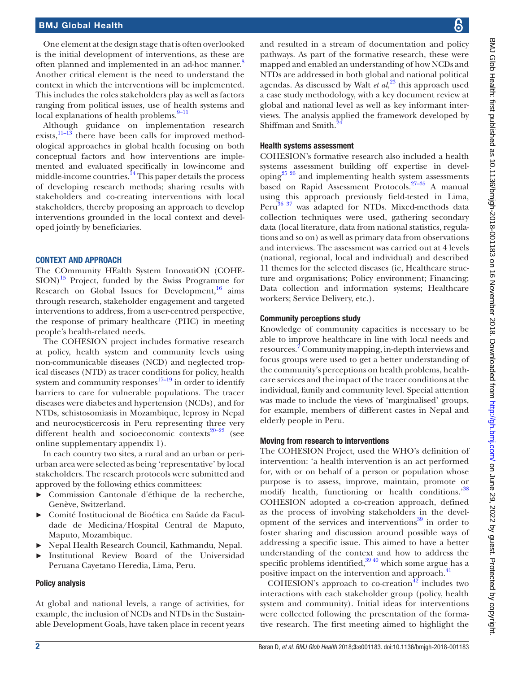### BMJ Global Health

One element at the design stage that is often overlooked is the initial development of interventions, as these are often planned and implemented in an ad-hoc manner.<sup>[8](#page-7-0)</sup> Another critical element is the need to understand the context in which the interventions will be implemented. This includes the roles stakeholders play as well as factors ranging from political issues, use of health systems and local explanations of health problems. $9-11$ 

Although guidance on implementation research exists,  $11-13$  there have been calls for improved methodological approaches in global health focusing on both conceptual factors and how interventions are implemented and evaluated specifically in low-income and middle-income countries.<sup>14</sup> This paper details the process of developing research methods; sharing results with stakeholders and co-creating interventions with local stakeholders, thereby proposing an approach to develop interventions grounded in the local context and developed jointly by beneficiaries.

### CONTEXT AND APPROACH

The COmmunity HEalth System InnovatiON (COHE- $SION$ <sup>15</sup> Project, funded by the Swiss Programme for Research on Global Issues for Development, $16$  aims through research, stakeholder engagement and targeted interventions to address, from a user-centred perspective, the response of primary healthcare (PHC) in meeting people's health-related needs.

The COHESION project includes formative research at policy, health system and community levels using non-communicable diseases (NCD) and neglected tropical diseases (NTD) as tracer conditions for policy, health system and community responses $17-19$  in order to identify barriers to care for vulnerable populations. The tracer diseases were diabetes and hypertension (NCDs), and for NTDs, schistosomiasis in Mozambique, leprosy in Nepal and neurocysticercosis in Peru representing three very different health and socioeconomic contexts $20-22$  (see [online supplementary appendix 1](https://dx.doi.org/10.1136/bmjgh-2018-001183)).

In each country two sites, a rural and an urban or periurban area were selected as being 'representative' by local stakeholders. The research protocols were submitted and approved by the following ethics committees:

- ► Commission Cantonale d'éthique de la recherche, Genève, Switzerland.
- ► Comité Institucional de Bioética em Saúde da Faculdade de Medicina/Hospital Central de Maputo, Maputo, Mozambique.
- ► Nepal Health Research Council, Kathmandu, Nepal.
- Institutional Review Board of the Universidad Peruana Cayetano Heredia, Lima, Peru.

### Policy analysis

At global and national levels, a range of activities, for example, the inclusion of NCDs and NTDs in the Sustainable Development Goals, have taken place in recent years

and resulted in a stream of documentation and policy pathways. As part of the formative research, these were mapped and enabled an understanding of how NCDs and NTDs are addressed in both global and national political agendas. As discussed by Walt *et al*, [23](#page-7-8) this approach used a case study methodology, with a key document review at global and national level as well as key informant interviews. The analysis applied the framework developed by Shiffman and Smith.<sup>3</sup>

### Health systems assessment

COHESION's formative research also included a health systems assessment building off expertise in devel- $\gamma$ oping<sup>25 26</sup> and implementing health system assessments based on Rapid Assessment Protocols.<sup>[27–35](#page-7-11)</sup> A manual using this approach previously field-tested in Lima, Peru<sup>36 37</sup> was adapted for NTDs. Mixed-methods data collection techniques were used, gathering secondary data (local literature, data from national statistics, regulations and so on) as well as primary data from observations and interviews. The assessment was carried out at 4 levels (national, regional, local and individual) and described 11 themes for the selected diseases (ie, Healthcare structure and organisations; Policy environment; Financing; Data collection and information systems; Healthcare workers; Service Delivery, etc.).

### Community perceptions study

Knowledge of community capacities is necessary to be able to improve healthcare in line with local needs and resources.<sup>[7](#page-6-5)</sup> Community mapping, in-depth interviews and focus groups were used to get a better understanding of the community's perceptions on health problems, healthcare services and the impact of the tracer conditions at the individual, family and community level. Special attention was made to include the views of 'marginalised' groups, for example, members of different castes in Nepal and elderly people in Peru.

#### Moving from research to interventions

The COHESION Project, used the WHO's definition of intervention: 'a health intervention is an act performed for, with or on behalf of a person or population whose purpose is to assess, improve, maintain, promote or modify health, functioning or health conditions.<sup>38</sup> COHESION adopted a co-creation approach, defined as the process of involving stakeholders in the development of the services and interventions $39$  in order to foster sharing and discussion around possible ways of addressing a specific issue. This aimed to have a better understanding of the context and how to address the specific problems identified, $39\frac{40}{9}$  which some argue has a positive impact on the intervention and approach.<sup>[41](#page-7-15)</sup>

COHESION's approach to co-creation<sup>42</sup> includes two interactions with each stakeholder group (policy, health system and community). Initial ideas for interventions were collected following the presentation of the formative research. The first meeting aimed to highlight the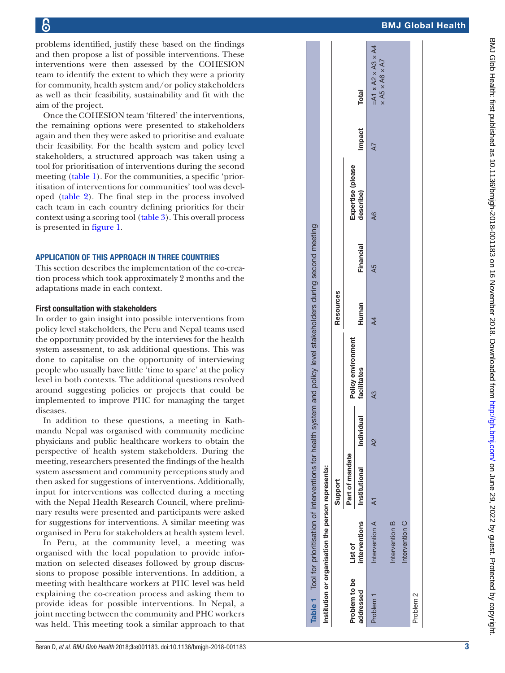problems identified, justify these based on the findings and then propose a list of possible interventions. These interventions were then assessed by the COHESION team to identify the extent to which they were a priority for community, health system and/or policy stakeholders as well as their feasibility, sustainability and fit with the aim of the project.

Once the COHESION team 'filtered' the interventions, the remaining options were presented to stakeholders again and then they were asked to prioritise and evaluate their feasibility. For the health system and policy level stakeholders, a structured approach was taken using a tool for prioritisation of interventions during the second meeting ([table](#page-2-0) 1). For the communities, a specific 'prioritisation of interventions for communities' tool was developed [\(table](#page-3-0) 2). The final step in the process involved each team in each country defining priorities for their context using a scoring tool [\(table](#page-3-1) 3). This overall process is presented in [figure](#page-4-0) 1 .

# APPLICATION OF THIS APPROACH IN THREE COUNTRIES

This section describes the implementation of the co-creation process which took approximately 2 months and the adaptations made in each context.

# First consultation with stakeholders

In order to gain insight into possible interventions from policy level stakeholders, the Peru and Nepal teams used the opportunity provided by the interviews for the health system assessment, to ask additional questions. This was done to capitalise on the opportunity of interviewing people who usually have little 'time to spare' at the policy level in both contexts. The additional questions revolved around suggesting policies or projects that could be implemented to improve PHC for managing the target diseases.

In addition to these questions, a meeting in Kath mandu Nepal was organised with community medicine physicians and public healthcare workers to obtain the perspective of health system stakeholders. During the meeting, researchers presented the findings of the health system assessment and community perceptions study and then asked for suggestions of interventions. Additionally, input for interventions was collected during a meeting with the Nepal Health Research Council, where prelimi nary results were presented and participants were asked for suggestions for interventions. A similar meeting was organised in Peru for stakeholders at health system level.

<span id="page-2-0"></span>In Peru, at the community level, a meeting was organised with the local population to provide information on selected diseases followed by group discussions to propose possible interventions. In addition, a meeting with healthcare workers at PHC level was held explaining the co-creation process and asking them to provide ideas for possible interventions. In Nepal, a joint meeting between the community and PHC workers was held. This meeting took a similar approach to that

|                      | Institution or organisation the person represents: | Table 1 Tool for prioritisation of interventions for health sy- |            | stem and policy level stakeholders during second meeting |                  |                 |                   |        |                                                              |
|----------------------|----------------------------------------------------|-----------------------------------------------------------------|------------|----------------------------------------------------------|------------------|-----------------|-------------------|--------|--------------------------------------------------------------|
|                      |                                                    | Support                                                         |            |                                                          | <b>Resources</b> |                 |                   |        |                                                              |
| Problem to be        | List of                                            | Part of mandate                                                 |            | Policy environment                                       |                  |                 | Expertise (please |        |                                                              |
| addressed            | interventions                                      | Institutional                                                   | Individual | facilitates                                              | Human            | Financial       | describe)         | Impact | <b>Total</b>                                                 |
| Problem <sub>1</sub> | Intervention A                                     | K                                                               | Q)         | $\overline{A}3$                                          | $\overline{A}$   | $\overline{45}$ | $\overline{4}$    | $A$ 7  | $=$ A1 x A2 x A3 x A4<br>$\times$ A5 $\times$ A6 $\times$ A7 |
|                      | Intervention B                                     |                                                                 |            |                                                          |                  |                 |                   |        |                                                              |
|                      | Intervention C                                     |                                                                 |            |                                                          |                  |                 |                   |        |                                                              |
| Problem <sub>2</sub> |                                                    |                                                                 |            |                                                          |                  |                 |                   |        |                                                              |
|                      |                                                    |                                                                 |            |                                                          |                  |                 |                   |        |                                                              |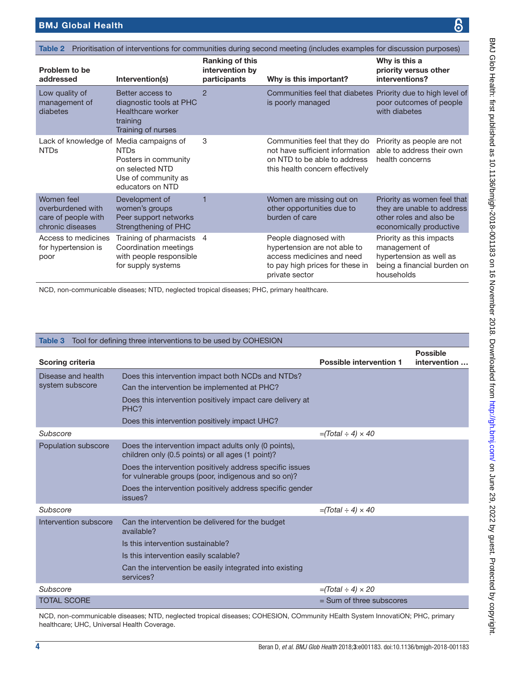<span id="page-3-0"></span>

| Table 2 Prioritisation of interventions for communities during second meeting (includes examples for discussion purposes) |                                                                                                     |                                                    |                                                                                                                                         |                                                                                                                   |
|---------------------------------------------------------------------------------------------------------------------------|-----------------------------------------------------------------------------------------------------|----------------------------------------------------|-----------------------------------------------------------------------------------------------------------------------------------------|-------------------------------------------------------------------------------------------------------------------|
| Problem to be<br>addressed                                                                                                | Intervention(s)                                                                                     | Ranking of this<br>intervention by<br>participants | Why is this important?                                                                                                                  | Why is this a<br>priority versus other<br>interventions?                                                          |
| Low quality of<br>management of<br>diabetes                                                                               | Better access to<br>diagnostic tools at PHC<br>Healthcare worker<br>training<br>Training of nurses  | $\mathcal{P}$                                      | Communities feel that diabetes Priority due to high level of<br>is poorly managed                                                       | poor outcomes of people<br>with diabetes                                                                          |
| Lack of knowledge of Media campaigns of<br><b>NTDs</b>                                                                    | <b>NTDs</b><br>Posters in community<br>on selected NTD<br>Use of community as<br>educators on NTD   | 3                                                  | Communities feel that they do<br>not have sufficient information<br>on NTD to be able to address<br>this health concern effectively     | Priority as people are not<br>able to address their own<br>health concerns                                        |
| Women feel<br>overburdened with<br>care of people with<br>chronic diseases                                                | Development of<br>women's groups<br>Peer support networks<br>Strengthening of PHC                   |                                                    | Women are missing out on<br>other opportunities due to<br>burden of care                                                                | Priority as women feel that<br>they are unable to address<br>other roles and also be<br>economically productive   |
| Access to medicines<br>for hypertension is<br>poor                                                                        | Training of pharmacists 4<br>Coordination meetings<br>with people responsible<br>for supply systems |                                                    | People diagnosed with<br>hypertension are not able to<br>access medicines and need<br>to pay high prices for these in<br>private sector | Priority as this impacts<br>management of<br>hypertension as well as<br>being a financial burden on<br>households |

NCD, non-communicable diseases; NTD, neglected tropical diseases; PHC, primary healthcare.

<span id="page-3-1"></span>

| Table 3                               | Tool for defining three interventions to be used by COHESION                                                                                                                                                                                                                                        |                                    |                                 |
|---------------------------------------|-----------------------------------------------------------------------------------------------------------------------------------------------------------------------------------------------------------------------------------------------------------------------------------------------------|------------------------------------|---------------------------------|
| Scoring criteria                      |                                                                                                                                                                                                                                                                                                     | <b>Possible intervention 1</b>     | <b>Possible</b><br>intervention |
| Disease and health<br>system subscore | Does this intervention impact both NCDs and NTDs?<br>Can the intervention be implemented at PHC?<br>Does this intervention positively impact care delivery at<br>PHC?<br>Does this intervention positively impact UHC?                                                                              |                                    |                                 |
| Subscore                              |                                                                                                                                                                                                                                                                                                     | $=(\text{Total} \div 4) \times 40$ |                                 |
| Population subscore                   | Does the intervention impact adults only (0 points),<br>children only (0.5 points) or all ages (1 point)?<br>Does the intervention positively address specific issues<br>for vulnerable groups (poor, indigenous and so on)?<br>Does the intervention positively address specific gender<br>issues? |                                    |                                 |
| Subscore                              |                                                                                                                                                                                                                                                                                                     | $=(\text{Total} \div 4) \times 40$ |                                 |
| Intervention subscore                 | Can the intervention be delivered for the budget<br>available?<br>Is this intervention sustainable?<br>Is this intervention easily scalable?<br>Can the intervention be easily integrated into existing<br>services?                                                                                |                                    |                                 |
| Subscore                              |                                                                                                                                                                                                                                                                                                     | $=(Total \div 4) \times 20$        |                                 |
| <b>TOTAL SCORE</b>                    |                                                                                                                                                                                                                                                                                                     | $=$ Sum of three subscores         |                                 |

NCD, non-communicable diseases; NTD, neglected tropical diseases; COHESION, COmmunity HEalth System InnovatiON; PHC, primary healthcare; UHC, Universal Health Coverage.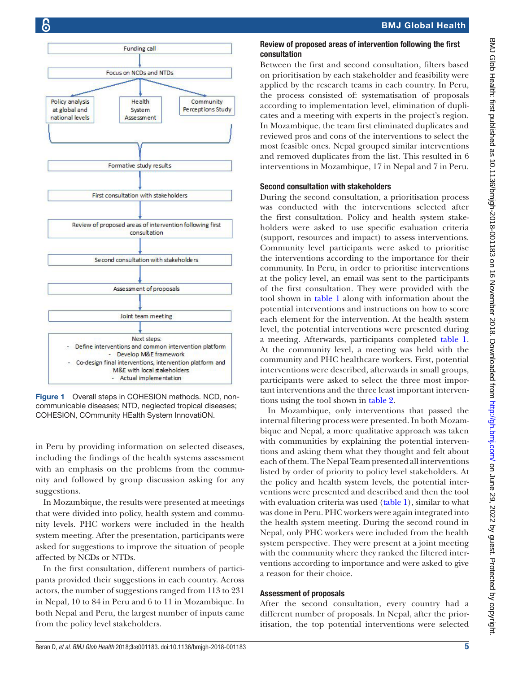

<span id="page-4-0"></span>Figure 1 Overall steps in COHESION methods. NCD, noncommunicable diseases; NTD, neglected tropical diseases; COHESION, COmmunity HEalth System InnovatiON.

in Peru by providing information on selected diseases, including the findings of the health systems assessment with an emphasis on the problems from the community and followed by group discussion asking for any suggestions.

In Mozambique, the results were presented at meetings that were divided into policy, health system and community levels. PHC workers were included in the health system meeting. After the presentation, participants were asked for suggestions to improve the situation of people affected by NCDs or NTDs.

In the first consultation, different numbers of participants provided their suggestions in each country. Across actors, the number of suggestions ranged from 113 to 231 in Nepal, 10 to 84 in Peru and 6 to 11 in Mozambique. In both Nepal and Peru, the largest number of inputs came from the policy level stakeholders.

# Review of proposed areas of intervention following the first consultation

Between the first and second consultation, filters based on prioritisation by each stakeholder and feasibility were applied by the research teams in each country. In Peru, the process consisted of: systematisation of proposals according to implementation level, elimination of duplicates and a meeting with experts in the project's region. In Mozambique, the team first eliminated duplicates and reviewed pros and cons of the interventions to select the most feasible ones. Nepal grouped similar interventions and removed duplicates from the list. This resulted in 6 interventions in Mozambique, 17 in Nepal and 7 in Peru.

### Second consultation with stakeholders

During the second consultation, a prioritisation process was conducted with the interventions selected after the first consultation. Policy and health system stakeholders were asked to use specific evaluation criteria (support, resources and impact) to assess interventions. Community level participants were asked to prioritise the interventions according to the importance for their community. In Peru, in order to prioritise interventions at the policy level, an email was sent to the participants of the first consultation. They were provided with the tool shown in [table](#page-2-0) 1 along with information about the potential interventions and instructions on how to score each element for the intervention. At the health system level, the potential interventions were presented during a meeting. Afterwards, participants completed [table](#page-2-0) 1. At the community level, a meeting was held with the community and PHC healthcare workers. First, potential interventions were described, afterwards in small groups, participants were asked to select the three most important interventions and the three least important interventions using the tool shown in [table](#page-3-0) 2.

In Mozambique, only interventions that passed the internal filtering process were presented. In both Mozambique and Nepal, a more qualitative approach was taken with communities by explaining the potential interventions and asking them what they thought and felt about each of them. The Nepal Team presented all interventions listed by order of priority to policy level stakeholders. At the policy and health system levels, the potential interventions were presented and described and then the tool with evaluation criteria was used [\(table](#page-2-0) 1), similar to what was done in Peru. PHC workers were again integrated into the health system meeting. During the second round in Nepal, only PHC workers were included from the health system perspective. They were present at a joint meeting with the community where they ranked the filtered interventions according to importance and were asked to give a reason for their choice.

### Assessment of proposals

After the second consultation, every country had a different number of proposals. In Nepal, after the prioritisation, the top potential interventions were selected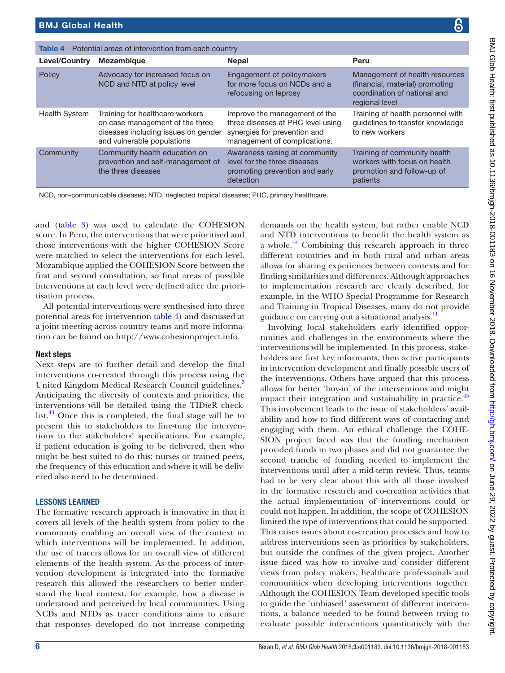<span id="page-5-0"></span>

| Table 4 Potential areas of intervention from each country |                                                                                                                                         |                                                                                                                                    |                                                                                                                     |  |  |
|-----------------------------------------------------------|-----------------------------------------------------------------------------------------------------------------------------------------|------------------------------------------------------------------------------------------------------------------------------------|---------------------------------------------------------------------------------------------------------------------|--|--|
| Level/Country                                             | <b>Mozambique</b>                                                                                                                       | <b>Nepal</b>                                                                                                                       | Peru                                                                                                                |  |  |
| Policy                                                    | Advocacy for increased focus on<br>NCD and NTD at policy level                                                                          | Engagement of policymakers<br>for more focus on NCDs and a<br>refocusing on leprosy                                                | Management of health resources<br>(financial, material) promoting<br>coordination of national and<br>regional level |  |  |
| <b>Health System</b>                                      | Training for healthcare workers<br>on case management of the three<br>diseases including issues on gender<br>and vulnerable populations | Improve the management of the<br>three diseases at PHC level using<br>synergies for prevention and<br>management of complications. | Training of health personnel with<br>guidelines to transfer knowledge<br>to new workers                             |  |  |
| Community                                                 | Community health education on<br>prevention and self-management of<br>the three diseases                                                | Awareness raising at community<br>level for the three diseases<br>promoting prevention and early<br>detection                      | Training of community health<br>workers with focus on health<br>promotion and follow-up of<br>patients              |  |  |

NCD, non-communicable diseases; NTD, neglected tropical diseases; PHC, primary healthcare.

and ([table](#page-3-1) 3) was used to calculate the COHESION score. In Peru, the interventions that were prioritised and those interventions with the higher COHESION Score were matched to select the interventions for each level. Mozambique applied the COHESION Score between the first and second consultation, so final areas of possible interventions at each level were defined after the prioritisation process.

All potential interventions were synthesised into three potential areas for intervention [table](#page-5-0) 4) and discussed at a joint meeting across country teams and more information can be found on <http://www.cohesionproject.info.>

### Next steps

Next steps are to further detail and develop the final interventions co-created through this process using the United Kingdom Medical Research Council guidelines.<sup>3</sup> Anticipating the diversity of contexts and priorities, the interventions will be detailed using the TIDieR checklist. $43$  Once this is completed, the final stage will be to present this to stakeholders to fine-tune the interventions to the stakeholders' specifications. For example, if patient education is going to be delivered, then who might be best suited to do this: nurses or trained peers, the frequency of this education and where it will be delivered also need to be determined.

### Lessons learned

The formative research approach is innovative in that it covers all levels of the health system from policy to the community enabling an overall view of the context in which interventions will be implemented. In addition, the use of tracers allows for an overall view of different elements of the health system. As the process of intervention development is integrated into the formative research this allowed the researchers to better understand the local context, for example, how a disease is understood and perceived by local communities. Using NCDs and NTDs as tracer conditions aims to ensure that responses developed do not increase competing

demands on the health system, but rather enable NCD and NTD interventions to benefit the health system as a whole.<sup>44</sup> Combining this research approach in three different countries and in both rural and urban areas allows for sharing experiences between contexts and for finding similarities and differences. Although approaches to implementation research are clearly described, for example, in the WHO Special Programme for Research and Training in Tropical Diseases, many do not provide guidance on carrying out a situational analysis.<sup>11</sup>

Involving local stakeholders early identified opportunities and challenges in the environments where the interventions will be implemented. In this process, stakeholders are first key informants, then active participants in intervention development and finally possible users of the interventions. Others have argued that this process allows for better 'buy-in' of the interventions and might impact their integration and sustainability in practice.<sup>[45](#page-7-19)</sup> This involvement leads to the issue of stakeholders' availability and how to find different ways of contacting and engaging with them. An ethical challenge the COHE-SION project faced was that the funding mechanism provided funds in two phases and did not guarantee the second tranche of funding needed to implement the interventions until after a mid-term review. Thus, teams had to be very clear about this with all those involved in the formative research and co-creation activities that the actual implementation of interventions could or could not happen. In addition, the scope of COHESION limited the type of interventions that could be supported. This raises issues about co-creation processes and how to address interventions seen as priorities by stakeholders, but outside the confines of the given project. Another issue faced was how to involve and consider different views from policy makers, healthcare professionals and communities when developing interventions together. Although the COHESION Team developed specific tools to guide the 'unbiased' assessment of different interventions, a balance needed to be found between trying to evaluate possible interventions quantitatively with the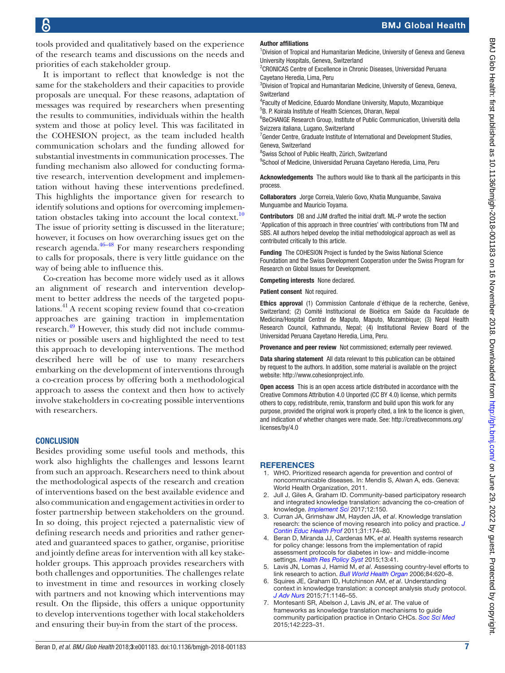tools provided and qualitatively based on the experience of the research teams and discussions on the needs and priorities of each stakeholder group.

It is important to reflect that knowledge is not the same for the stakeholders and their capacities to provide proposals are unequal. For these reasons, adaptation of messages was required by researchers when presenting the results to communities, individuals within the health system and those at policy level. This was facilitated in the COHESION project, as the team included health communication scholars and the funding allowed for substantial investments in communication processes. The funding mechanism also allowed for conducting formative research, intervention development and implementation without having these interventions predefined. This highlights the importance given for research to identify solutions and options for overcoming implementation obstacles taking into account the local context. $10$ The issue of priority setting is discussed in the literature; however, it focuses on how overarching issues get on the research agenda[.46–48](#page-7-21) For many researchers responding to calls for proposals, there is very little guidance on the way of being able to influence this.

Co-creation has become more widely used as it allows an alignment of research and intervention development to better address the needs of the targeted populations[.41](#page-7-15) A recent scoping review found that co-creation approaches are gaining traction in implementation research.<sup>[49](#page-7-22)</sup> However, this study did not include communities or possible users and highlighted the need to test this approach to developing interventions. The method described here will be of use to many researchers embarking on the development of interventions through a co-creation process by offering both a methodological approach to assess the context and then how to actively involve stakeholders in co-creating possible interventions with researchers.

### **CONCLUSION**

Besides providing some useful tools and methods, this work also highlights the challenges and lessons learnt from such an approach. Researchers need to think about the methodological aspects of the research and creation of interventions based on the best available evidence and also communication and engagement activities in order to foster partnership between stakeholders on the ground. In so doing, this project rejected a paternalistic view of defining research needs and priorities and rather generated and guaranteed spaces to gather, organise, prioritise and jointly define areas for intervention with all key stakeholder groups. This approach provides researchers with both challenges and opportunities. The challenges relate to investment in time and resources in working closely with partners and not knowing which interventions may result. On the flipside, this offers a unique opportunity to develop interventions together with local stakeholders and ensuring their buy-in from the start of the process.

#### Author affiliations

<sup>1</sup> Division of Tropical and Humanitarian Medicine, University of Geneva and Geneva University Hospitals, Geneva, Switzerland

<sup>2</sup> CRONICAS Centre of Excellence in Chronic Diseases, Universidad Peruana Cayetano Heredia, Lima, Peru

<sup>3</sup>Division of Tropical and Humanitarian Medicine, University of Geneva, Geneva, Switzerland

4 Faculty of Medicine, Eduardo Mondlane University, Maputo, Mozambique 5 B. P. Koirala Institute of Health Sciences, Dharan, Nepal

6 BeCHANGE Research Group, Institute of Public Communication, Università della Svizzera italiana, Lugano, Switzerland

<sup>7</sup> Gender Centre, Graduate Institute of International and Development Studies, Geneva, Switzerland

<sup>8</sup>Swiss School of Public Health, Zürich, Switzerland

<sup>9</sup>School of Medicine, Universidad Peruana Cayetano Heredia, Lima, Peru

Acknowledgements The authors would like to thank all the participants in this process.

Collaborators Jorge Correia, Valerio Govo, Khatia Munguambe, Savaiva Munguambe and Mauricio Toyama.

Contributors DB and JJM drafted the initial draft. ML-P wrote the section 'Application of this approach in three countries' with contributions from TM and SBS. All authors helped develop the initial methodological approach as well as contributed critically to this article.

Funding The COHESION Project is funded by the Swiss National Science Foundation and the Swiss Development Cooperation under the Swiss Program for Research on Global Issues for Development.

Competing interests None declared.

Patient consent Not required.

Ethics approval (1) Commission Cantonale d'éthique de la recherche, Genève, Switzerland; (2) Comité Institucional de Bioética em Saúde da Faculdade de Medicina/Hospital Central de Maputo, Maputo, Mozambique; (3) Nepal Health Research Council, Kathmandu, Nepal; (4) Institutional Review Board of the Universidad Peruana Cayetano Heredia, Lima, Peru.

Provenance and peer review Not commissioned; externally peer reviewed.

Data sharing statement All data relevant to this publication can be obtained by request to the authors. In addition, some material is available on the project website:<http://www.cohesionproject.info>.

Open access This is an open access article distributed in accordance with the Creative Commons Attribution 4.0 Unported (CC BY 4.0) license, which permits others to copy, redistribute, remix, transform and build upon this work for any purpose, provided the original work is properly cited, a link to the licence is given, and indication of whether changes were made. See: [http://creativecommons.org/](http://creativecommons.org/licenses/by/4.0) [licenses/by/4.0](http://creativecommons.org/licenses/by/4.0)

### **REFERENCES**

- <span id="page-6-0"></span>1. WHO. Prioritized research agenda for prevention and control of noncommunicable diseases. In: Mendis S, Alwan A, eds. Geneva: World Health Organization, 2011.
- <span id="page-6-1"></span>2. Jull J, Giles A, Graham ID. Community-based participatory research and integrated knowledge translation: advancing the co-creation of knowledge. *[Implement Sci](http://dx.doi.org/10.1186/s13012-017-0696-3)* 2017;12:150.
- <span id="page-6-2"></span>3. Curran JA, Grimshaw JM, Hayden JA, *et al*. Knowledge translation research: the science of moving research into policy and practice. *[J](http://dx.doi.org/10.1002/chp.20124)  [Contin Educ Health Prof](http://dx.doi.org/10.1002/chp.20124)* 2011;31:174–80.
- <span id="page-6-3"></span>4. Beran D, Miranda JJ, Cardenas MK, *et al*. Health systems research for policy change: lessons from the implementation of rapid assessment protocols for diabetes in low- and middle-income settings. *[Health Res Policy Syst](http://dx.doi.org/10.1186/s12961-015-0029-4)* 2015;13:41.
- <span id="page-6-4"></span>5. Lavis JN, Lomas J, Hamid M, *et al*. Assessing country-level efforts to link research to action. *[Bull World Health Organ](http://dx.doi.org/10.2471/BLT.06.030312)* 2006;84:620–8.
- 6. Squires JE, Graham ID, Hutchinson AM, *et al*. Understanding context in knowledge translation: a concept analysis study protocol. *[J Adv Nurs](http://dx.doi.org/10.1111/jan.12574)* 2015;71:1146–55.
- <span id="page-6-5"></span>7. Montesanti SR, Abelson J, Lavis JN, *et al*. The value of frameworks as knowledge translation mechanisms to guide community participation practice in Ontario CHCs. *[Soc Sci Med](http://dx.doi.org/10.1016/j.socscimed.2015.08.024)* 2015;142:223–31.